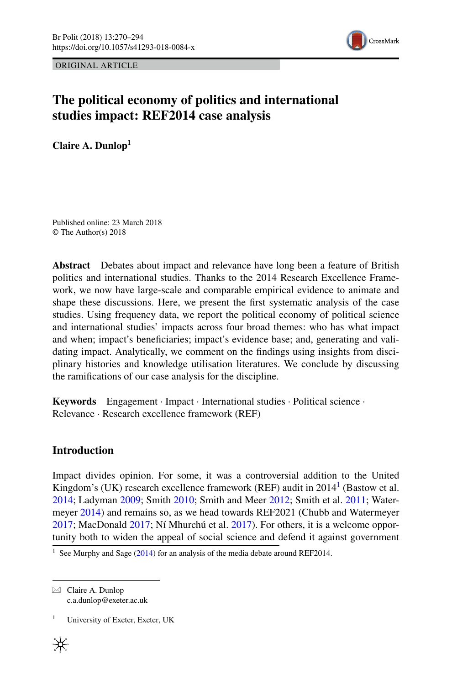ORIGINAL ARTICLE



# **The political economy of politics and international studies impact: REF2014 case analysis**

**Claire A. Dunlop1**

Published online: 23 March 2018 © The Author(s) 2018

**Abstract** Debates about impact and relevance have long been a feature of British politics and international studies. Thanks to the 2014 Research Excellence Framework, we now have large-scale and comparable empirical evidence to animate and shape these discussions. Here, we present the frst systematic analysis of the case studies. Using frequency data, we report the political economy of political science and international studies' impacts across four broad themes: who has what impact and when; impact's benefciaries; impact's evidence base; and, generating and validating impact. Analytically, we comment on the fndings using insights from disciplinary histories and knowledge utilisation literatures. We conclude by discussing the ramifcations of our case analysis for the discipline.

**Keywords** Engagement · Impact · International studies · Political science · Relevance · Research excellence framework (REF)

## **Introduction**

Impact divides opinion. For some, it was a controversial addition to the United Kingdom's (UK) research excellence framework (REF) audit in  $2014<sup>1</sup>$  $2014<sup>1</sup>$  $2014<sup>1</sup>$  (Bastow et al. [2014](#page-20-0); Ladyman [2009;](#page-22-0) Smith [2010;](#page-23-0) Smith and Meer [2012;](#page-23-1) Smith et al. [2011](#page-23-2); Watermeyer [2014](#page-23-3)) and remains so, as we head towards REF2021 (Chubb and Watermeyer [2017](#page-20-1); MacDonald [2017](#page-22-1); Ní Mhurchú et al. [2017\)](#page-22-2). For others, it is a welcome opportunity both to widen the appeal of social science and defend it against government

 $\boxtimes$  Claire A. Dunlop c.a.dunlop@exeter.ac.uk

University of Exeter, Exeter, UK



<span id="page-0-0"></span><sup>&</sup>lt;sup>1</sup> See Murphy and Sage ([2014\)](#page-22-3) for an analysis of the media debate around REF2014.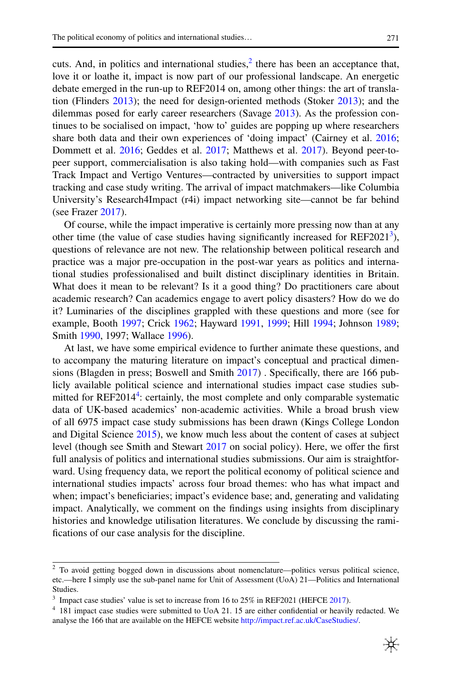cuts. And, in politics and international studies, $\lambda^2$  $\lambda^2$  there has been an acceptance that, love it or loathe it, impact is now part of our professional landscape. An energetic debate emerged in the run-up to REF2014 on, among other things: the art of translation (Flinders [2013\)](#page-21-0); the need for design-oriented methods (Stoker [2013](#page-23-4)); and the dilemmas posed for early career researchers (Savage [2013](#page-22-4)). As the profession continues to be socialised on impact, 'how to' guides are popping up where researchers share both data and their own experiences of 'doing impact' (Cairney et al. [2016;](#page-20-2) Dommett et al. [2016](#page-21-1); Geddes et al. [2017](#page-21-2); Matthews et al. [2017](#page-22-5)). Beyond peer-topeer support, commercialisation is also taking hold—with companies such as Fast Track Impact and Vertigo Ventures—contracted by universities to support impact tracking and case study writing. The arrival of impact matchmakers—like Columbia University's Research4Impact (r4i) impact networking site—cannot be far behind (see Frazer [2017\)](#page-21-3).

Of course, while the impact imperative is certainly more pressing now than at any other time (the value of case studies having significantly increased for  $REF2021^3$  $REF2021^3$ ), questions of relevance are not new. The relationship between political research and practice was a major pre-occupation in the post-war years as politics and international studies professionalised and built distinct disciplinary identities in Britain. What does it mean to be relevant? Is it a good thing? Do practitioners care about academic research? Can academics engage to avert policy disasters? How do we do it? Luminaries of the disciplines grappled with these questions and more (see for example, Booth [1997;](#page-20-3) Crick [1962;](#page-21-4) Hayward [1991,](#page-21-5) [1999](#page-21-6); Hill [1994;](#page-22-6) Johnson [1989;](#page-22-7) Smith [1990,](#page-23-5) 1997; Wallace [1996](#page-23-6)).

At last, we have some empirical evidence to further animate these questions, and to accompany the maturing literature on impact's conceptual and practical dimensions (Blagden in press; Boswell and Smith [2017\)](#page-20-4) . Specifcally, there are 166 publicly available political science and international studies impact case studies submitted for REF2014<sup>4</sup>: certainly, the most complete and only comparable systematic data of UK-based academics' non-academic activities. While a broad brush view of all 6975 impact case study submissions has been drawn (Kings College London and Digital Science [2015\)](#page-22-8), we know much less about the content of cases at subject level (though see Smith and Stewart [2017](#page-23-7) on social policy). Here, we ofer the frst full analysis of politics and international studies submissions. Our aim is straightforward. Using frequency data, we report the political economy of political science and international studies impacts' across four broad themes: who has what impact and when; impact's beneficiaries; impact's evidence base; and, generating and validating impact. Analytically, we comment on the fndings using insights from disciplinary histories and knowledge utilisation literatures. We conclude by discussing the ramifcations of our case analysis for the discipline.

<span id="page-1-0"></span><sup>&</sup>lt;sup>2</sup> To avoid getting bogged down in discussions about nomenclature—politics versus political science, etc.—here I simply use the sub-panel name for Unit of Assessment (UoA) 21—Politics and International Studies.

<span id="page-1-1"></span> $3$  Impact case studies' value is set to increase from 16 to 25% in REF2021 (HEFCE [2017\)](#page-21-7).

<span id="page-1-2"></span><sup>4</sup> 181 impact case studies were submitted to UoA 21. 15 are either confdential or heavily redacted. We analyse the 166 that are available on the HEFCE website [http://impact.ref.ac.uk/CaseStudies/.](http://impact.ref.ac.uk/CaseStudies/)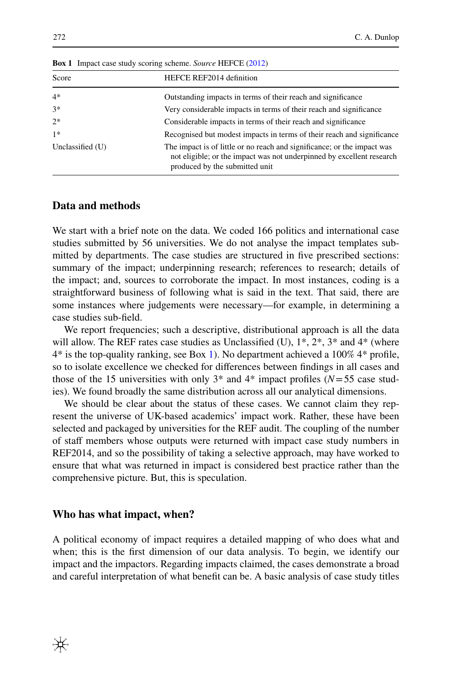| Score            | HEFCE REF2014 definition                                                                                                                                                           |
|------------------|------------------------------------------------------------------------------------------------------------------------------------------------------------------------------------|
| $4*$             | Outstanding impacts in terms of their reach and significance                                                                                                                       |
| $3*$             | Very considerable impacts in terms of their reach and significance                                                                                                                 |
| $2*$             | Considerable impacts in terms of their reach and significance                                                                                                                      |
| $1*$             | Recognised but modest impacts in terms of their reach and significance                                                                                                             |
| Unclassified (U) | The impact is of little or no reach and significance; or the impact was<br>not eligible; or the impact was not underpinned by excellent research<br>produced by the submitted unit |

<span id="page-2-0"></span>**Box 1** Impact case study scoring scheme. *Source* HEFCE [\(2012](#page-21-8))

#### **Data and methods**

We start with a brief note on the data. We coded 166 politics and international case studies submitted by 56 universities. We do not analyse the impact templates submitted by departments. The case studies are structured in fve prescribed sections: summary of the impact; underpinning research; references to research; details of the impact; and, sources to corroborate the impact. In most instances, coding is a straightforward business of following what is said in the text. That said, there are some instances where judgements were necessary—for example, in determining a case studies sub-feld.

We report frequencies; such a descriptive, distributional approach is all the data will allow. The REF rates case studies as Unclassified (U),  $1^*, 2^*, 3^*$  and  $4^*$  (where  $4*$  is the top-quality ranking, see Box [1\)](#page-2-0). No department achieved a 100%  $4*$  profile, so to isolate excellence we checked for diferences between fndings in all cases and those of the 15 universities with only  $3^*$  and  $4^*$  impact profiles ( $N=55$  case studies). We found broadly the same distribution across all our analytical dimensions.

We should be clear about the status of these cases. We cannot claim they represent the universe of UK-based academics' impact work. Rather, these have been selected and packaged by universities for the REF audit. The coupling of the number of staf members whose outputs were returned with impact case study numbers in REF2014, and so the possibility of taking a selective approach, may have worked to ensure that what was returned in impact is considered best practice rather than the comprehensive picture. But, this is speculation.

#### **Who has what impact, when?**

A political economy of impact requires a detailed mapping of who does what and when; this is the frst dimension of our data analysis. To begin, we identify our impact and the impactors. Regarding impacts claimed, the cases demonstrate a broad and careful interpretation of what beneft can be. A basic analysis of case study titles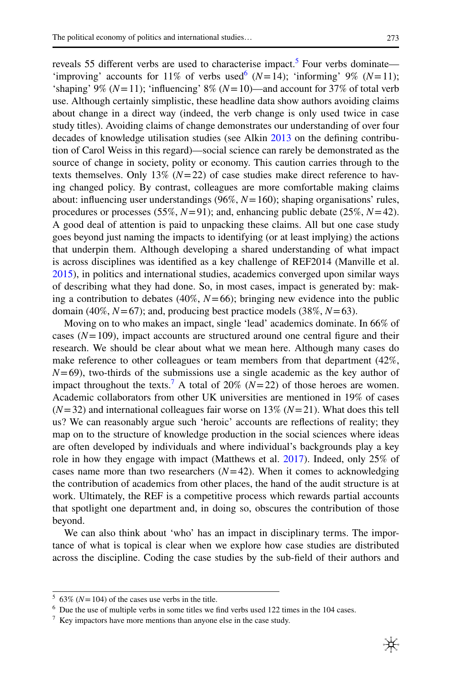reveals [5](#page-3-0)5 different verbs are used to characterise impact.<sup>5</sup> Four verbs dominate— 'improving' accounts for 11% of verbs used<sup>6</sup> ( $N=14$ ); 'informing' 9% ( $N=11$ ); 'shaping' 9% ( $N=11$ ); 'influencing' 8% ( $N=10$ )—and account for 37% of total verb use. Although certainly simplistic, these headline data show authors avoiding claims about change in a direct way (indeed, the verb change is only used twice in case study titles). Avoiding claims of change demonstrates our understanding of over four decades of knowledge utilisation studies (see Alkin [2013](#page-20-5) on the defning contribution of Carol Weiss in this regard)—social science can rarely be demonstrated as the source of change in society, polity or economy. This caution carries through to the texts themselves. Only 13%  $(N=22)$  of case studies make direct reference to having changed policy. By contrast, colleagues are more comfortable making claims about: infuencing user understandings (96%, *N*=160); shaping organisations' rules, procedures or processes (55%, *N*=91); and, enhancing public debate (25%, *N*=42). A good deal of attention is paid to unpacking these claims. All but one case study goes beyond just naming the impacts to identifying (or at least implying) the actions that underpin them. Although developing a shared understanding of what impact is across disciplines was identifed as a key challenge of REF2014 (Manville et al. [2015](#page-22-9)), in politics and international studies, academics converged upon similar ways of describing what they had done. So, in most cases, impact is generated by: making a contribution to debates  $(40\%, N=66)$ ; bringing new evidence into the public domain (40%,  $N=67$ ); and, producing best practice models (38%,  $N=63$ ).

Moving on to who makes an impact, single 'lead' academics dominate. In 66% of cases  $(N=109)$ , impact accounts are structured around one central figure and their research. We should be clear about what we mean here. Although many cases do make reference to other colleagues or team members from that department (42%,  $N=69$ ), two-thirds of the submissions use a single academic as the key author of impact throughout the texts.<sup>[7](#page-3-2)</sup> A total of 20% ( $N=22$ ) of those heroes are women. Academic collaborators from other UK universities are mentioned in 19% of cases (*N*=32) and international colleagues fair worse on 13% (*N*=21). What does this tell us? We can reasonably argue such 'heroic' accounts are refections of reality; they map on to the structure of knowledge production in the social sciences where ideas are often developed by individuals and where individual's backgrounds play a key role in how they engage with impact (Matthews et al. [2017\)](#page-22-5). Indeed, only 25% of cases name more than two researchers  $(N=42)$ . When it comes to acknowledging the contribution of academics from other places, the hand of the audit structure is at work. Ultimately, the REF is a competitive process which rewards partial accounts that spotlight one department and, in doing so, obscures the contribution of those beyond.

We can also think about 'who' has an impact in disciplinary terms. The importance of what is topical is clear when we explore how case studies are distributed across the discipline. Coding the case studies by the sub-feld of their authors and

<span id="page-3-0"></span> $5\,63\%$  ( $N=104$ ) of the cases use verbs in the title.

<span id="page-3-1"></span><sup>6</sup> Due the use of multiple verbs in some titles we fnd verbs used 122 times in the 104 cases.

<span id="page-3-2"></span> $7$  Key impactors have more mentions than anyone else in the case study.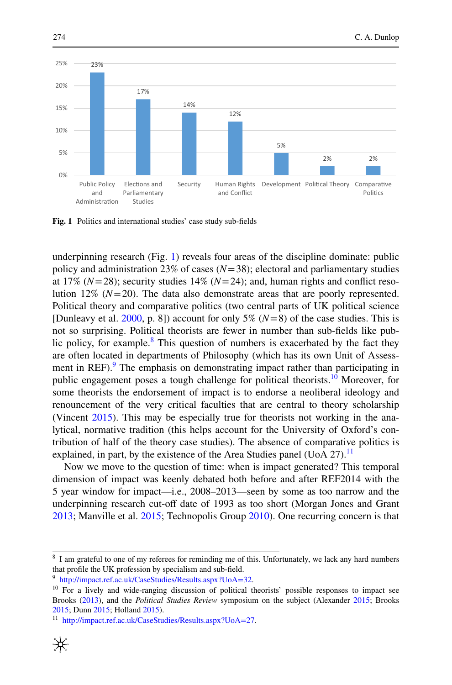

<span id="page-4-0"></span>**Fig. 1** Politics and international studies' case study sub-felds

underpinning research (Fig. [1](#page-4-0)) reveals four areas of the discipline dominate: public policy and administration 23% of cases (*N*=38); electoral and parliamentary studies at 17% ( $N=28$ ); security studies 14% ( $N=24$ ); and, human rights and conflict resolution 12%  $(N=20)$ . The data also demonstrate areas that are poorly represented. Political theory and comparative politics (two central parts of UK political science [Dunleavy et al. [2000](#page-21-9), p. 8]) account for only 5% (*N*=8) of the case studies. This is not so surprising. Political theorists are fewer in number than sub-felds like pub-lic policy, for example.<sup>[8](#page-4-1)</sup> This question of numbers is exacerbated by the fact they are often located in departments of Philosophy (which has its own Unit of Assessment in REF).<sup>9</sup> The emphasis on demonstrating impact rather than participating in public engagement poses a tough challenge for political theorists.<sup>[10](#page-4-3)</sup> Moreover, for some theorists the endorsement of impact is to endorse a neoliberal ideology and renouncement of the very critical faculties that are central to theory scholarship (Vincent [2015\)](#page-23-8). This may be especially true for theorists not working in the analytical, normative tradition (this helps account for the University of Oxford's contribution of half of the theory case studies). The absence of comparative politics is explained, in part, by the existence of the Area Studies panel (UoA  $27$ ).<sup>[11](#page-4-4)</sup>

Now we move to the question of time: when is impact generated? This temporal dimension of impact was keenly debated both before and after REF2014 with the 5 year window for impact—i.e., 2008–2013—seen by some as too narrow and the underpinning research cut-of date of 1993 as too short (Morgan Jones and Grant [2013](#page-22-10); Manville et al. [2015;](#page-22-9) Technopolis Group [2010](#page-23-9)). One recurring concern is that

<span id="page-4-1"></span><sup>&</sup>lt;sup>8</sup> I am grateful to one of my referees for reminding me of this. Unfortunately, we lack any hard numbers that profle the UK profession by specialism and sub-feld.

<span id="page-4-2"></span><sup>9</sup> [http://impact.ref.ac.uk/CaseStudies/Results.aspx?UoA=32.](http://impact.ref.ac.uk/CaseStudies/Results.aspx?UoA=32)

<span id="page-4-3"></span><sup>&</sup>lt;sup>10</sup> For a lively and wide-ranging discussion of political theorists' possible responses to impact see Brooks [\(2013](#page-20-6)), and the *Political Studies Review* symposium on the subject (Alexander [2015;](#page-20-7) Brooks [2015](#page-20-8); Dunn [2015](#page-21-10); Holland [2015](#page-22-11)).

<span id="page-4-4"></span><sup>&</sup>lt;sup>11</sup> [http://impact.ref.ac.uk/CaseStudies/Results.aspx?UoA=27.](http://impact.ref.ac.uk/CaseStudies/Results.aspx?UoA=27)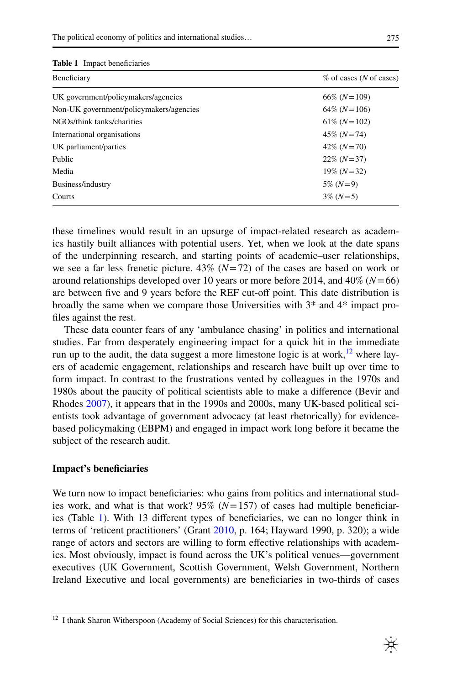| Beneficiary                             | $%$ of cases (N of cases)<br>$66\%$ (N = 109) |  |
|-----------------------------------------|-----------------------------------------------|--|
| UK government/policymakers/agencies     |                                               |  |
| Non-UK government/policymakers/agencies | $64\%$ ( $N=106$ )                            |  |
| NGOs/think tanks/charities              | $61\%$ ( $N=102$ )                            |  |
| International organisations             | $45\%$ ( $N=74$ )                             |  |
| UK parliament/parties                   | $42\%$ ( $N=70$ )                             |  |
| Public                                  | $22\%$ (N = 37)                               |  |
| Media                                   | $19\%$ ( $N = 32$ )                           |  |
| Business/industry                       | $5\%$ (N = 9)                                 |  |
| Courts                                  | $3\% (N=5)$                                   |  |
|                                         |                                               |  |

<span id="page-5-1"></span>**Table 1** Impact benefciaries

these timelines would result in an upsurge of impact-related research as academics hastily built alliances with potential users. Yet, when we look at the date spans of the underpinning research, and starting points of academic–user relationships, we see a far less frenetic picture.  $43\%$  ( $N=72$ ) of the cases are based on work or around relationships developed over 10 years or more before 2014, and 40% (*N*=66) are between fve and 9 years before the REF cut-of point. This date distribution is broadly the same when we compare those Universities with 3\* and 4\* impact profles against the rest.

These data counter fears of any 'ambulance chasing' in politics and international studies. Far from desperately engineering impact for a quick hit in the immediate run up to the audit, the data suggest a more limestone logic is at work,<sup>12</sup> where layers of academic engagement, relationships and research have built up over time to form impact. In contrast to the frustrations vented by colleagues in the 1970s and 1980s about the paucity of political scientists able to make a diference (Bevir and Rhodes [2007\)](#page-20-9), it appears that in the 1990s and 2000s, many UK-based political scientists took advantage of government advocacy (at least rhetorically) for evidencebased policymaking (EBPM) and engaged in impact work long before it became the subject of the research audit.

### **Impact's benefciaries**

We turn now to impact beneficiaries: who gains from politics and international studies work, and what is that work?  $95\%$  ( $N=157$ ) of cases had multiple beneficiaries (Table [1\)](#page-5-1). With 13 diferent types of benefciaries, we can no longer think in terms of 'reticent practitioners' (Grant [2010,](#page-21-11) p. 164; Hayward 1990, p. 320); a wide range of actors and sectors are willing to form efective relationships with academics. Most obviously, impact is found across the UK's political venues—government executives (UK Government, Scottish Government, Welsh Government, Northern Ireland Executive and local governments) are benefciaries in two-thirds of cases

<span id="page-5-0"></span><sup>&</sup>lt;sup>12</sup> I thank Sharon Witherspoon (Academy of Social Sciences) for this characterisation.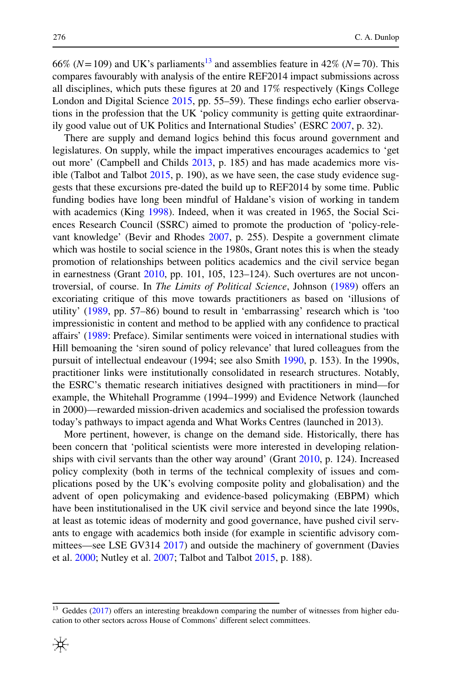66% ( $N=109$ ) and UK's parliaments<sup>[13](#page-6-0)</sup> and assemblies feature in 42% ( $N=70$ ). This compares favourably with analysis of the entire REF2014 impact submissions across all disciplines, which puts these fgures at 20 and 17% respectively (Kings College London and Digital Science [2015](#page-22-8), pp. 55–59). These fndings echo earlier observations in the profession that the UK 'policy community is getting quite extraordinarily good value out of UK Politics and International Studies' (ESRC [2007,](#page-21-12) p. 32).

There are supply and demand logics behind this focus around government and legislatures. On supply, while the impact imperatives encourages academics to 'get out more' (Campbell and Childs [2013,](#page-20-10) p. 185) and has made academics more visible (Talbot and Talbot [2015,](#page-23-10) p. 190), as we have seen, the case study evidence suggests that these excursions pre-dated the build up to REF2014 by some time. Public funding bodies have long been mindful of Haldane's vision of working in tandem with academics (King [1998](#page-22-12)). Indeed, when it was created in 1965, the Social Sciences Research Council (SSRC) aimed to promote the production of 'policy-relevant knowledge' (Bevir and Rhodes [2007,](#page-20-9) p. 255). Despite a government climate which was hostile to social science in the 1980s, Grant notes this is when the steady promotion of relationships between politics academics and the civil service began in earnestness (Grant [2010,](#page-21-11) pp. 101, 105, 123–124). Such overtures are not uncontroversial, of course. In *The Limits of Political Science*, Johnson [\(1989](#page-22-7)) ofers an excoriating critique of this move towards practitioners as based on 'illusions of utility' ([1989,](#page-22-7) pp. 57–86) bound to result in 'embarrassing' research which is 'too impressionistic in content and method to be applied with any confdence to practical afairs' ([1989:](#page-22-7) Preface). Similar sentiments were voiced in international studies with Hill bemoaning the 'siren sound of policy relevance' that lured colleagues from the pursuit of intellectual endeavour (1994; see also Smith [1990,](#page-23-5) p. 153). In the 1990s, practitioner links were institutionally consolidated in research structures. Notably, the ESRC's thematic research initiatives designed with practitioners in mind—for example, the Whitehall Programme (1994–1999) and Evidence Network (launched in 2000)—rewarded mission-driven academics and socialised the profession towards today's pathways to impact agenda and What Works Centres (launched in 2013).

More pertinent, however, is change on the demand side. Historically, there has been concern that 'political scientists were more interested in developing relationships with civil servants than the other way around' (Grant [2010,](#page-21-11) p. 124). Increased policy complexity (both in terms of the technical complexity of issues and complications posed by the UK's evolving composite polity and globalisation) and the advent of open policymaking and evidence-based policymaking (EBPM) which have been institutionalised in the UK civil service and beyond since the late 1990s, at least as totemic ideas of modernity and good governance, have pushed civil servants to engage with academics both inside (for example in scientifc advisory committees—see LSE GV314 [2017\)](#page-22-13) and outside the machinery of government (Davies et al. [2000;](#page-21-13) Nutley et al. [2007](#page-22-14); Talbot and Talbot [2015,](#page-23-10) p. 188).



<span id="page-6-0"></span><sup>&</sup>lt;sup>13</sup> Geddes ([2017\)](#page-21-14) offers an interesting breakdown comparing the number of witnesses from higher education to other sectors across House of Commons' diferent select committees.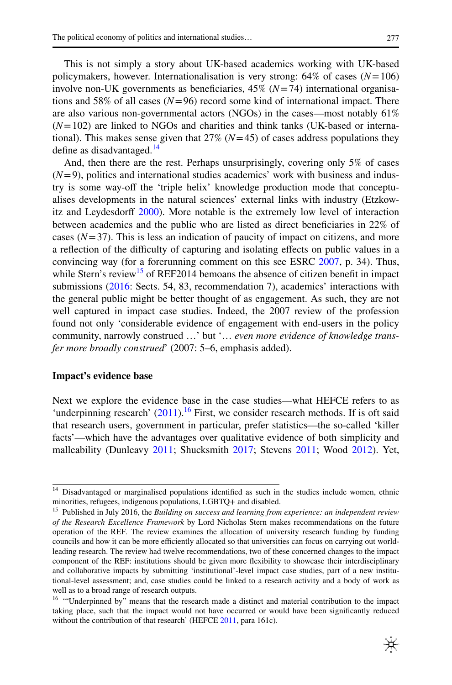This is not simply a story about UK-based academics working with UK-based policymakers, however. Internationalisation is very strong: 64% of cases (*N*=106) involve non-UK governments as beneficiaries,  $45\%$  ( $N=74$ ) international organisations and 58% of all cases  $(N=96)$  record some kind of international impact. There are also various non-governmental actors (NGOs) in the cases—most notably 61%  $(N=102)$  are linked to NGOs and charities and think tanks (UK-based or international). This makes sense given that  $27\%$  ( $N=45$ ) of cases address populations they define as disadvantaged.<sup>[14](#page-7-0)</sup>

And, then there are the rest. Perhaps unsurprisingly, covering only 5% of cases  $(N=9)$ , politics and international studies academics' work with business and industry is some way-of the 'triple helix' knowledge production mode that conceptualises developments in the natural sciences' external links with industry (Etzkow-itz and Leydesdorff [2000\)](#page-21-15). More notable is the extremely low level of interaction between academics and the public who are listed as direct benefciaries in 22% of cases  $(N=37)$ . This is less an indication of paucity of impact on citizens, and more a reflection of the difficulty of capturing and isolating effects on public values in a convincing way (for a forerunning comment on this see ESRC [2007](#page-21-12), p. 34). Thus, while Stern's review<sup>15</sup> of REF2014 bemoans the absence of citizen benefit in impact submissions [\(2016](#page-23-11): Sects. 54, 83, recommendation 7), academics' interactions with the general public might be better thought of as engagement. As such, they are not well captured in impact case studies. Indeed, the 2007 review of the profession found not only 'considerable evidence of engagement with end-users in the policy community, narrowly construed …' but '… *even more evidence of knowledge transfer more broadly construed*' (2007: 5–6, emphasis added).

#### **Impact's evidence base**

Next we explore the evidence base in the case studies—what HEFCE refers to as 'underpinning research'  $(2011)$  $(2011)$ <sup>16</sup> First, we consider research methods. If is oft said that research users, government in particular, prefer statistics—the so-called 'killer facts'—which have the advantages over qualitative evidence of both simplicity and malleability (Dunleavy [2011;](#page-21-17) Shucksmith [2017;](#page-22-15) Stevens [2011;](#page-23-12) Wood [2012](#page-24-0)). Yet,

<span id="page-7-0"></span><sup>&</sup>lt;sup>14</sup> Disadvantaged or marginalised populations identified as such in the studies include women, ethnic minorities, refugees, indigenous populations, LGBTQ+ and disabled.

<span id="page-7-1"></span><sup>15</sup> Published in July 2016, the *Building on success and learning from experience: an independent review of the Research Excellence Framework* by Lord Nicholas Stern makes recommendations on the future operation of the REF. The review examines the allocation of university research funding by funding councils and how it can be more efficiently allocated so that universities can focus on carrying out worldleading research. The review had twelve recommendations, two of these concerned changes to the impact component of the REF: institutions should be given more fexibility to showcase their interdisciplinary and collaborative impacts by submitting 'institutional'-level impact case studies, part of a new institutional-level assessment; and, case studies could be linked to a research activity and a body of work as well as to a broad range of research outputs.

<span id="page-7-2"></span><sup>&</sup>lt;sup>16</sup> "Underpinned by" means that the research made a distinct and material contribution to the impact taking place, such that the impact would not have occurred or would have been signifcantly reduced without the contribution of that research' (HEFCE [2011](#page-21-16), para 161c).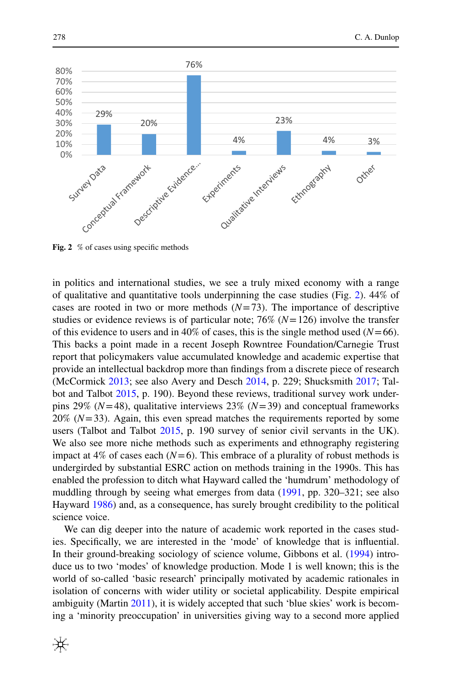

<span id="page-8-0"></span>**Fig. 2** % of cases using specifc methods

in politics and international studies, we see a truly mixed economy with a range of qualitative and quantitative tools underpinning the case studies (Fig. [2](#page-8-0)). 44% of cases are rooted in two or more methods  $(N=73)$ . The importance of descriptive studies or evidence reviews is of particular note; 76% (*N*=126) involve the transfer of this evidence to users and in 40% of cases, this is the single method used  $(N=66)$ . This backs a point made in a recent Joseph Rowntree Foundation/Carnegie Trust report that policymakers value accumulated knowledge and academic expertise that provide an intellectual backdrop more than fndings from a discrete piece of research (McCormick [2013;](#page-22-16) see also Avery and Desch [2014](#page-20-11), p. 229; Shucksmith [2017](#page-22-15); Talbot and Talbot [2015,](#page-23-10) p. 190). Beyond these reviews, traditional survey work underpins 29% ( $N=48$ ), qualitative interviews 23% ( $N=39$ ) and conceptual frameworks  $20\%$  ( $N=33$ ). Again, this even spread matches the requirements reported by some users (Talbot and Talbot [2015,](#page-23-10) p. 190 survey of senior civil servants in the UK). We also see more niche methods such as experiments and ethnography registering impact at 4% of cases each  $(N=6)$ . This embrace of a plurality of robust methods is undergirded by substantial ESRC action on methods training in the 1990s. This has enabled the profession to ditch what Hayward called the 'humdrum' methodology of muddling through by seeing what emerges from data ([1991,](#page-21-5) pp. 320–321; see also Hayward [1986\)](#page-21-18) and, as a consequence, has surely brought credibility to the political science voice.

We can dig deeper into the nature of academic work reported in the cases studies. Specifcally, we are interested in the 'mode' of knowledge that is infuential. In their ground-breaking sociology of science volume, Gibbons et al. ([1994\)](#page-21-19) introduce us to two 'modes' of knowledge production. Mode 1 is well known; this is the world of so-called 'basic research' principally motivated by academic rationales in isolation of concerns with wider utility or societal applicability. Despite empirical ambiguity (Martin [2011](#page-22-17)), it is widely accepted that such 'blue skies' work is becoming a 'minority preoccupation' in universities giving way to a second more applied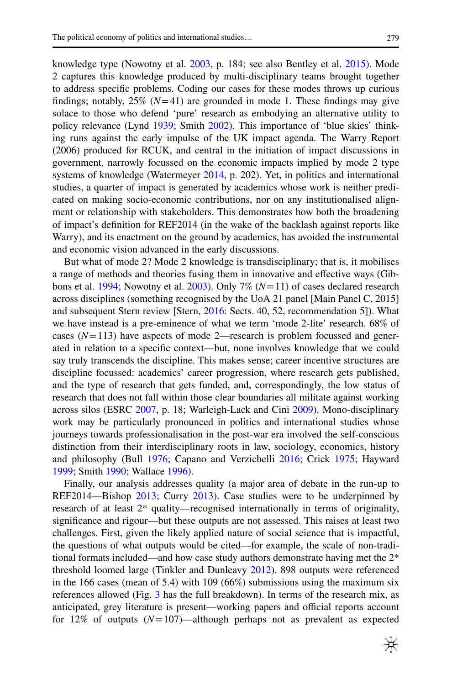knowledge type (Nowotny et al. [2003,](#page-22-18) p. 184; see also Bentley et al. [2015\)](#page-20-12). Mode 2 captures this knowledge produced by multi-disciplinary teams brought together to address specifc problems. Coding our cases for these modes throws up curious findings; notably,  $25\%$  ( $N=41$ ) are grounded in mode 1. These findings may give solace to those who defend 'pure' research as embodying an alternative utility to policy relevance (Lynd [1939;](#page-22-19) Smith [2002\)](#page-23-13). This importance of 'blue skies' thinking runs against the early impulse of the UK impact agenda. The Warry Report (2006) produced for RCUK, and central in the initiation of impact discussions in government, narrowly focussed on the economic impacts implied by mode 2 type systems of knowledge (Watermeyer [2014,](#page-23-3) p. 202). Yet, in politics and international studies, a quarter of impact is generated by academics whose work is neither predicated on making socio-economic contributions, nor on any institutionalised alignment or relationship with stakeholders. This demonstrates how both the broadening of impact's defnition for REF2014 (in the wake of the backlash against reports like Warry), and its enactment on the ground by academics, has avoided the instrumental and economic vision advanced in the early discussions.

But what of mode 2? Mode 2 knowledge is transdisciplinary; that is, it mobilises a range of methods and theories fusing them in innovative and efective ways (Gibbons et al. [1994](#page-21-19); Nowotny et al. [2003\)](#page-22-18). Only 7% (*N*=11) of cases declared research across disciplines (something recognised by the UoA 21 panel [Main Panel C, 2015] and subsequent Stern review [Stern, [2016](#page-23-11): Sects. 40, 52, recommendation 5]). What we have instead is a pre-eminence of what we term 'mode 2-lite' research. 68% of cases  $(N=113)$  have aspects of mode 2—research is problem focussed and generated in relation to a specifc context—but, none involves knowledge that we could say truly transcends the discipline. This makes sense; career incentive structures are discipline focussed: academics' career progression, where research gets published, and the type of research that gets funded, and, correspondingly, the low status of research that does not fall within those clear boundaries all militate against working across silos (ESRC [2007,](#page-21-12) p. 18; Warleigh-Lack and Cini [2009\)](#page-23-14). Mono-disciplinary work may be particularly pronounced in politics and international studies whose journeys towards professionalisation in the post-war era involved the self-conscious distinction from their interdisciplinary roots in law, sociology, economics, history and philosophy (Bull [1976](#page-20-13); Capano and Verzichelli [2016;](#page-20-14) Crick [1975](#page-21-20); Hayward [1999](#page-21-6); Smith [1990;](#page-23-5) Wallace [1996\)](#page-23-6).

Finally, our analysis addresses quality (a major area of debate in the run-up to REF2014—Bishop [2013](#page-20-15); Curry [2013\)](#page-21-21). Case studies were to be underpinned by research of at least 2\* quality—recognised internationally in terms of originality, signifcance and rigour—but these outputs are not assessed. This raises at least two challenges. First, given the likely applied nature of social science that is impactful, the questions of what outputs would be cited—for example, the scale of non-traditional formats included—and how case study authors demonstrate having met the 2\* threshold loomed large (Tinkler and Dunleavy [2012\)](#page-23-15). 898 outputs were referenced in the 166 cases (mean of 5.4) with 109 (66%) submissions using the maximum six references allowed (Fig. [3](#page-10-0) has the full breakdown). In terms of the research mix, as anticipated, grey literature is present—working papers and official reports account for 12% of outputs  $(N=107)$ —although perhaps not as prevalent as expected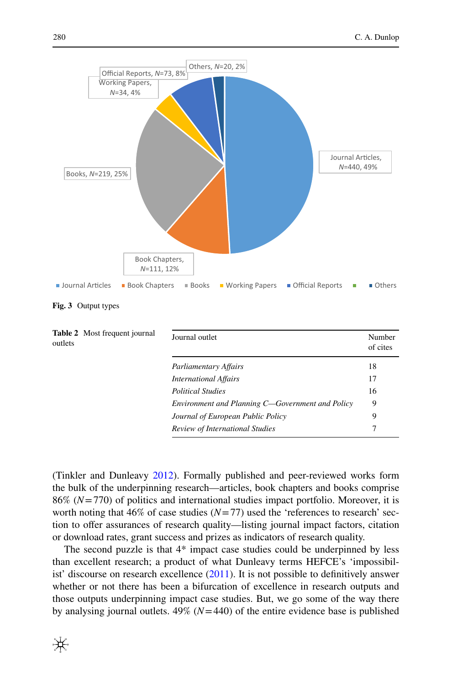

<span id="page-10-1"></span><span id="page-10-0"></span>

|         | <b>Table 2</b> Most frequent journal |
|---------|--------------------------------------|
| outlets |                                      |

| Journal outlet                                   | Number<br>of cites |
|--------------------------------------------------|--------------------|
| Parliamentary Affairs                            | 18                 |
| <b>International Affairs</b>                     | 17                 |
| <b>Political Studies</b>                         | 16                 |
| Environment and Planning C—Government and Policy | 9                  |
| Journal of European Public Policy                | 9                  |
| Review of International Studies                  |                    |
|                                                  |                    |

(Tinkler and Dunleavy [2012\)](#page-23-15). Formally published and peer-reviewed works form the bulk of the underpinning research—articles, book chapters and books comprise 86% (*N*=770) of politics and international studies impact portfolio. Moreover, it is worth noting that  $46\%$  of case studies ( $N=77$ ) used the 'references to research' section to ofer assurances of research quality—listing journal impact factors, citation or download rates, grant success and prizes as indicators of research quality.

The second puzzle is that 4\* impact case studies could be underpinned by less than excellent research; a product of what Dunleavy terms HEFCE's 'impossibilist' discourse on research excellence [\(2011](#page-21-16)). It is not possible to defnitively answer whether or not there has been a bifurcation of excellence in research outputs and those outputs underpinning impact case studies. But, we go some of the way there by analysing journal outlets. 49% (*N*=440) of the entire evidence base is published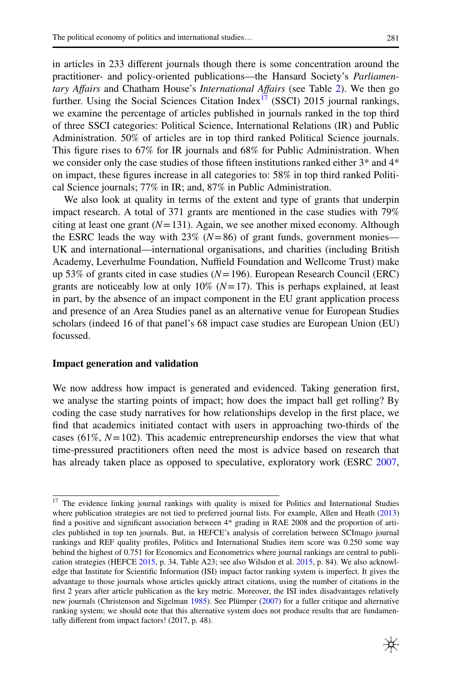in articles in 233 diferent journals though there is some concentration around the practitioner- and policy-oriented publications—the Hansard Society's *Parliamentary Afairs* and Chatham House's *International Afairs* (see Table [2](#page-10-1)). We then go further. Using the Social Sciences Citation Index<sup>17</sup> (SSCI) 2015 journal rankings, we examine the percentage of articles published in journals ranked in the top third of three SSCI categories: Political Science, International Relations (IR) and Public Administration. 50% of articles are in top third ranked Political Science journals. This fgure rises to 67% for IR journals and 68% for Public Administration. When we consider only the case studies of those ffteen institutions ranked either 3\* and 4\* on impact, these fgures increase in all categories to: 58% in top third ranked Political Science journals; 77% in IR; and, 87% in Public Administration.

We also look at quality in terms of the extent and type of grants that underpin impact research. A total of 371 grants are mentioned in the case studies with 79% citing at least one grant  $(N=131)$ . Again, we see another mixed economy. Although the ESRC leads the way with  $23\%$  ( $N=86$ ) of grant funds, government monies— UK and international—international organisations, and charities (including British Academy, Leverhulme Foundation, Nuffield Foundation and Wellcome Trust) make up 53% of grants cited in case studies (*N*=196). European Research Council (ERC) grants are noticeably low at only  $10\%$  ( $N=17$ ). This is perhaps explained, at least in part, by the absence of an impact component in the EU grant application process and presence of an Area Studies panel as an alternative venue for European Studies scholars (indeed 16 of that panel's 68 impact case studies are European Union (EU) focussed.

#### **Impact generation and validation**

We now address how impact is generated and evidenced. Taking generation frst, we analyse the starting points of impact; how does the impact ball get rolling? By coding the case study narratives for how relationships develop in the frst place, we fnd that academics initiated contact with users in approaching two-thirds of the cases (61%,  $N=102$ ). This academic entrepreneurship endorses the view that what time-pressured practitioners often need the most is advice based on research that has already taken place as opposed to speculative, exploratory work (ESRC [2007,](#page-21-12)

<span id="page-11-0"></span><sup>&</sup>lt;sup>17</sup> The evidence linking journal rankings with quality is mixed for Politics and International Studies where publication strategies are not tied to preferred journal lists. For example, Allen and Heath ([2013\)](#page-20-16) fnd a positive and signifcant association between 4\* grading in RAE 2008 and the proportion of articles published in top ten journals. But, in HEFCE's analysis of correlation between SCImago journal rankings and REF quality profles, Politics and International Studies item score was 0.250 some way behind the highest of 0.751 for Economics and Econometrics where journal rankings are central to publication strategies (HEFCE [2015](#page-21-22), p. 34, Table A23; see also Wilsdon et al. [2015](#page-23-16), p. 84). We also acknowledge that Institute for Scientifc Information (ISI) impact factor ranking system is imperfect. It gives the advantage to those journals whose articles quickly attract citations, using the number of citations in the first 2 years after article publication as the key metric. Moreover, the ISI index disadvantages relatively new journals (Christenson and Sigelman [1985](#page-20-17)). See Plümper ([2007\)](#page-22-20) for a fuller critique and alternative ranking system; we should note that this alternative system does not produce results that are fundamentally diferent from impact factors! (2017, p. 48).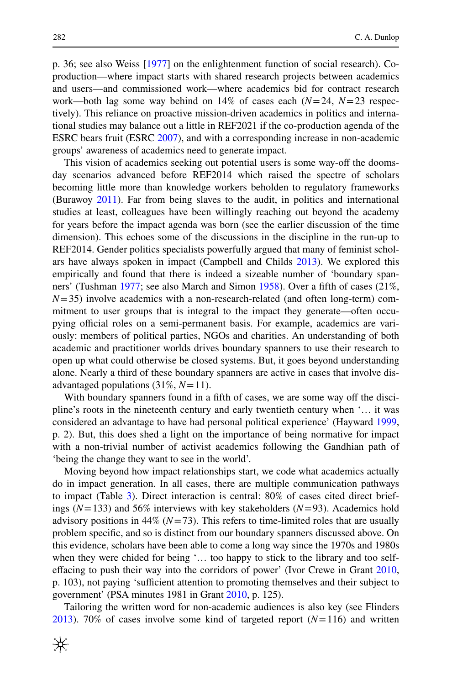p. 36; see also Weiss [\[1977](#page-23-17)] on the enlightenment function of social research). Coproduction—where impact starts with shared research projects between academics and users—and commissioned work—where academics bid for contract research work—both lag some way behind on 14% of cases each (*N*=24, *N*=23 respectively). This reliance on proactive mission-driven academics in politics and international studies may balance out a little in REF2021 if the co-production agenda of the ESRC bears fruit (ESRC [2007](#page-21-12)), and with a corresponding increase in non-academic groups' awareness of academics need to generate impact.

This vision of academics seeking out potential users is some way-of the doomsday scenarios advanced before REF2014 which raised the spectre of scholars becoming little more than knowledge workers beholden to regulatory frameworks (Burawoy [2011](#page-20-18)). Far from being slaves to the audit, in politics and international studies at least, colleagues have been willingly reaching out beyond the academy for years before the impact agenda was born (see the earlier discussion of the time dimension). This echoes some of the discussions in the discipline in the run-up to REF2014. Gender politics specialists powerfully argued that many of feminist scholars have always spoken in impact (Campbell and Childs [2013](#page-20-10)). We explored this empirically and found that there is indeed a sizeable number of 'boundary spanners' (Tushman [1977;](#page-23-18) see also March and Simon [1958\)](#page-22-21). Over a ffth of cases (21%, *N*=35) involve academics with a non-research-related (and often long-term) commitment to user groups that is integral to the impact they generate—often occupying official roles on a semi-permanent basis. For example, academics are variously: members of political parties, NGOs and charities. An understanding of both academic and practitioner worlds drives boundary spanners to use their research to open up what could otherwise be closed systems. But, it goes beyond understanding alone. Nearly a third of these boundary spanners are active in cases that involve disadvantaged populations (31%, *N*=11).

With boundary spanners found in a fifth of cases, we are some way off the disci-pline's roots in the nineteenth century and early twentieth century when '… it was considered an advantage to have had personal political experience' (Hayward [1999,](#page-21-6) p. 2). But, this does shed a light on the importance of being normative for impact with a non-trivial number of activist academics following the Gandhian path of 'being the change they want to see in the world'.

Moving beyond how impact relationships start, we code what academics actually do in impact generation. In all cases, there are multiple communication pathways to impact (Table [3](#page-13-0)). Direct interaction is central: 80% of cases cited direct briefings ( $N=133$ ) and 56% interviews with key stakeholders ( $N=93$ ). Academics hold advisory positions in  $44\%$  ( $N=73$ ). This refers to time-limited roles that are usually problem specifc, and so is distinct from our boundary spanners discussed above. On this evidence, scholars have been able to come a long way since the 1970s and 1980s when they were chided for being '… too happy to stick to the library and too self-effacing to push their way into the corridors of power' (Ivor Crewe in Grant [2010,](#page-21-11) p. 103), not paying 'sufficient attention to promoting themselves and their subject to government' (PSA minutes 1981 in Grant [2010](#page-21-11), p. 125).

Tailoring the written word for non-academic audiences is also key (see Flinders [2013](#page-21-0)). 70% of cases involve some kind of targeted report  $(N=116)$  and written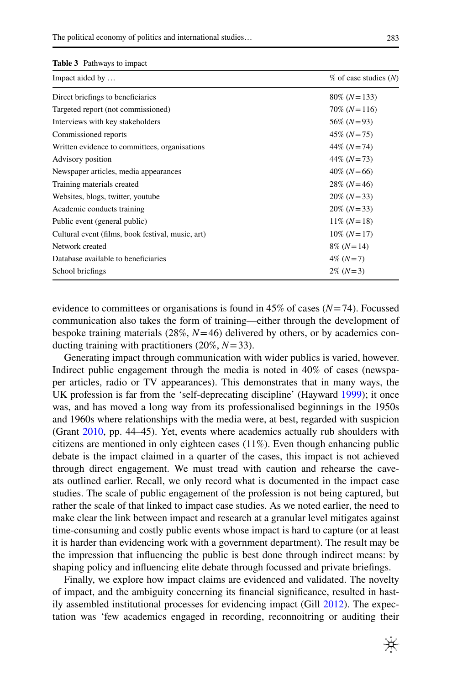#### <span id="page-13-0"></span>**Table 3** Pathways to impact

| Impact aided by                                   | $%$ of case studies $(N)$ |  |
|---------------------------------------------------|---------------------------|--|
| Direct briefings to beneficiaries                 | $80\%$ (N = 133)          |  |
| Targeted report (not commissioned)                | $70\%$ ( $N=116$ )        |  |
| Interviews with key stakeholders                  | $56\%$ (N=93)             |  |
| Commissioned reports                              | $45\% (N=75)$             |  |
| Written evidence to committees, organisations     | 44\% $(N=74)$             |  |
| Advisory position                                 | $44\%$ (N = 73)           |  |
| Newspaper articles, media appearances             | $40\%$ (N = 66)           |  |
| Training materials created                        | $28\%$ (N = 46)           |  |
| Websites, blogs, twitter, youtube                 | $20\%$ ( $N=33$ )         |  |
| Academic conducts training                        | $20\%$ (N = 33)           |  |
| Public event (general public)                     | $11\% (N=18)$             |  |
| Cultural event (films, book festival, music, art) | $10\%$ (N = 17)           |  |
| Network created                                   | $8\%$ (N = 14)            |  |
| Database available to beneficiaries               | $4\%$ (N = 7)             |  |
| School briefings                                  | $2\%$ (N = 3)             |  |

evidence to committees or organisations is found in 45% of cases (*N*=74). Focussed communication also takes the form of training—either through the development of bespoke training materials  $(28\%, N=46)$  delivered by others, or by academics conducting training with practitioners (20%, *N*=33).

Generating impact through communication with wider publics is varied, however. Indirect public engagement through the media is noted in 40% of cases (newspaper articles, radio or TV appearances). This demonstrates that in many ways, the UK profession is far from the 'self-deprecating discipline' (Hayward [1999\)](#page-21-6); it once was, and has moved a long way from its professionalised beginnings in the 1950s and 1960s where relationships with the media were, at best, regarded with suspicion (Grant [2010](#page-21-11), pp. 44–45). Yet, events where academics actually rub shoulders with citizens are mentioned in only eighteen cases (11%). Even though enhancing public debate is the impact claimed in a quarter of the cases, this impact is not achieved through direct engagement. We must tread with caution and rehearse the caveats outlined earlier. Recall, we only record what is documented in the impact case studies. The scale of public engagement of the profession is not being captured, but rather the scale of that linked to impact case studies. As we noted earlier, the need to make clear the link between impact and research at a granular level mitigates against time-consuming and costly public events whose impact is hard to capture (or at least it is harder than evidencing work with a government department). The result may be the impression that infuencing the public is best done through indirect means: by shaping policy and infuencing elite debate through focussed and private briefngs.

Finally, we explore how impact claims are evidenced and validated. The novelty of impact, and the ambiguity concerning its fnancial signifcance, resulted in hastily assembled institutional processes for evidencing impact (Gill [2012](#page-21-23)). The expectation was 'few academics engaged in recording, reconnoitring or auditing their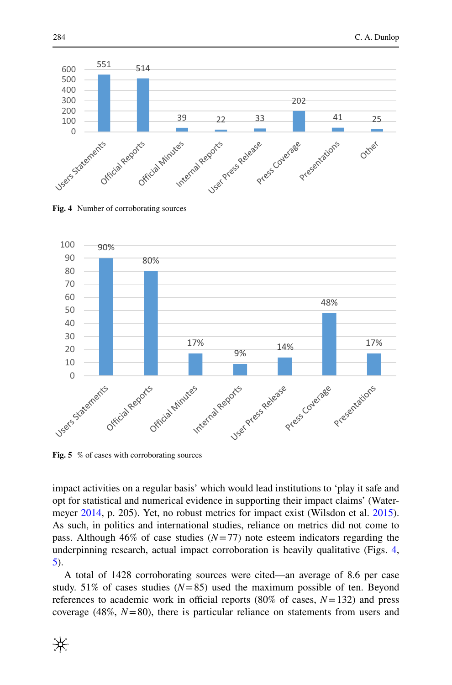

<span id="page-14-0"></span>**Fig. 4** Number of corroborating sources



<span id="page-14-1"></span>**Fig. 5** % of cases with corroborating sources

impact activities on a regular basis' which would lead institutions to 'play it safe and opt for statistical and numerical evidence in supporting their impact claims' (Watermeyer [2014,](#page-23-3) p. 205). Yet, no robust metrics for impact exist (Wilsdon et al. [2015\)](#page-23-16). As such, in politics and international studies, reliance on metrics did not come to pass. Although 46% of case studies  $(N=77)$  note esteem indicators regarding the underpinning research, actual impact corroboration is heavily qualitative (Figs. [4,](#page-14-0) [5](#page-14-1)).

A total of 1428 corroborating sources were cited—an average of 8.6 per case study. 51% of cases studies  $(N=85)$  used the maximum possible of ten. Beyond references to academic work in official reports  $(80\%$  of cases,  $N=132$ ) and press coverage (48%,  $N=80$ ), there is particular reliance on statements from users and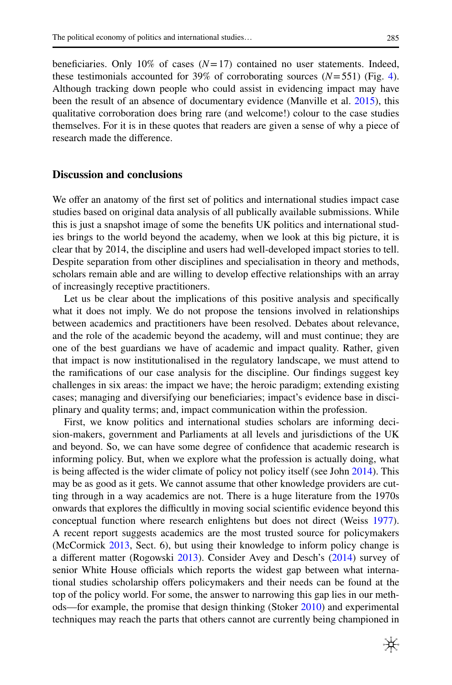beneficiaries. Only 10% of cases  $(N=17)$  contained no user statements. Indeed, these testimonials accounted for 39% of corroborating sources  $(N=551)$  (Fig. [4\)](#page-14-0). Although tracking down people who could assist in evidencing impact may have been the result of an absence of documentary evidence (Manville et al. [2015\)](#page-22-9), this qualitative corroboration does bring rare (and welcome!) colour to the case studies themselves. For it is in these quotes that readers are given a sense of why a piece of research made the diference.

#### **Discussion and conclusions**

We offer an anatomy of the first set of politics and international studies impact case studies based on original data analysis of all publically available submissions. While this is just a snapshot image of some the benefts UK politics and international studies brings to the world beyond the academy, when we look at this big picture, it is clear that by 2014, the discipline and users had well-developed impact stories to tell. Despite separation from other disciplines and specialisation in theory and methods, scholars remain able and are willing to develop efective relationships with an array of increasingly receptive practitioners.

Let us be clear about the implications of this positive analysis and specifcally what it does not imply. We do not propose the tensions involved in relationships between academics and practitioners have been resolved. Debates about relevance, and the role of the academic beyond the academy, will and must continue; they are one of the best guardians we have of academic and impact quality. Rather, given that impact is now institutionalised in the regulatory landscape, we must attend to the ramifcations of our case analysis for the discipline. Our fndings suggest key challenges in six areas: the impact we have; the heroic paradigm; extending existing cases; managing and diversifying our benefciaries; impact's evidence base in disciplinary and quality terms; and, impact communication within the profession.

First, we know politics and international studies scholars are informing decision-makers, government and Parliaments at all levels and jurisdictions of the UK and beyond. So, we can have some degree of confdence that academic research is informing policy. But, when we explore what the profession is actually doing, what is being affected is the wider climate of policy not policy itself (see John [2014](#page-22-22)). This may be as good as it gets. We cannot assume that other knowledge providers are cutting through in a way academics are not. There is a huge literature from the 1970s onwards that explores the difficultly in moving social scientific evidence beyond this conceptual function where research enlightens but does not direct (Weiss [1977\)](#page-23-17). A recent report suggests academics are the most trusted source for policymakers (McCormick [2013](#page-22-16), Sect. 6), but using their knowledge to inform policy change is a diferent matter (Rogowski [2013\)](#page-22-23). Consider Avey and Desch's ([2014\)](#page-20-11) survey of senior White House officials which reports the widest gap between what international studies scholarship ofers policymakers and their needs can be found at the top of the policy world. For some, the answer to narrowing this gap lies in our methods—for example, the promise that design thinking (Stoker [2010\)](#page-23-19) and experimental techniques may reach the parts that others cannot are currently being championed in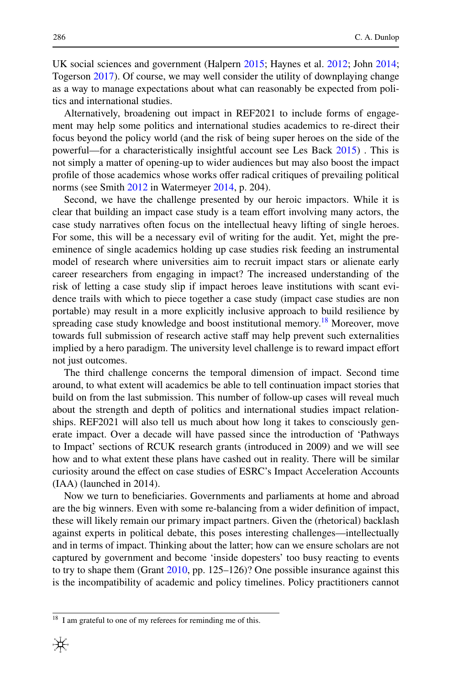UK social sciences and government (Halpern [2015](#page-21-24); Haynes et al. [2012](#page-21-25); John [2014;](#page-22-22) Togerson [2017\)](#page-23-20). Of course, we may well consider the utility of downplaying change as a way to manage expectations about what can reasonably be expected from politics and international studies.

Alternatively, broadening out impact in REF2021 to include forms of engagement may help some politics and international studies academics to re-direct their focus beyond the policy world (and the risk of being super heroes on the side of the powerful—for a characteristically insightful account see Les Back [2015](#page-20-19)) . This is not simply a matter of opening-up to wider audiences but may also boost the impact profile of those academics whose works offer radical critiques of prevailing political norms (see Smith [2012](#page-23-1) in Watermeyer [2014,](#page-23-3) p. 204).

Second, we have the challenge presented by our heroic impactors. While it is clear that building an impact case study is a team efort involving many actors, the case study narratives often focus on the intellectual heavy lifting of single heroes. For some, this will be a necessary evil of writing for the audit. Yet, might the preeminence of single academics holding up case studies risk feeding an instrumental model of research where universities aim to recruit impact stars or alienate early career researchers from engaging in impact? The increased understanding of the risk of letting a case study slip if impact heroes leave institutions with scant evidence trails with which to piece together a case study (impact case studies are non portable) may result in a more explicitly inclusive approach to build resilience by spreading case study knowledge and boost institutional memory.<sup>[18](#page-16-0)</sup> Moreover, move towards full submission of research active staff may help prevent such externalities implied by a hero paradigm. The university level challenge is to reward impact effort not just outcomes.

The third challenge concerns the temporal dimension of impact. Second time around, to what extent will academics be able to tell continuation impact stories that build on from the last submission. This number of follow-up cases will reveal much about the strength and depth of politics and international studies impact relationships. REF2021 will also tell us much about how long it takes to consciously generate impact. Over a decade will have passed since the introduction of 'Pathways to Impact' sections of RCUK research grants (introduced in 2009) and we will see how and to what extent these plans have cashed out in reality. There will be similar curiosity around the efect on case studies of ESRC's Impact Acceleration Accounts (IAA) (launched in 2014).

Now we turn to benefciaries. Governments and parliaments at home and abroad are the big winners. Even with some re-balancing from a wider defnition of impact, these will likely remain our primary impact partners. Given the (rhetorical) backlash against experts in political debate, this poses interesting challenges—intellectually and in terms of impact. Thinking about the latter; how can we ensure scholars are not captured by government and become 'inside dopesters' too busy reacting to events to try to shape them (Grant [2010](#page-21-11), pp. 125–126)? One possible insurance against this is the incompatibility of academic and policy timelines. Policy practitioners cannot

<span id="page-16-0"></span><sup>&</sup>lt;sup>18</sup> I am grateful to one of my referees for reminding me of this.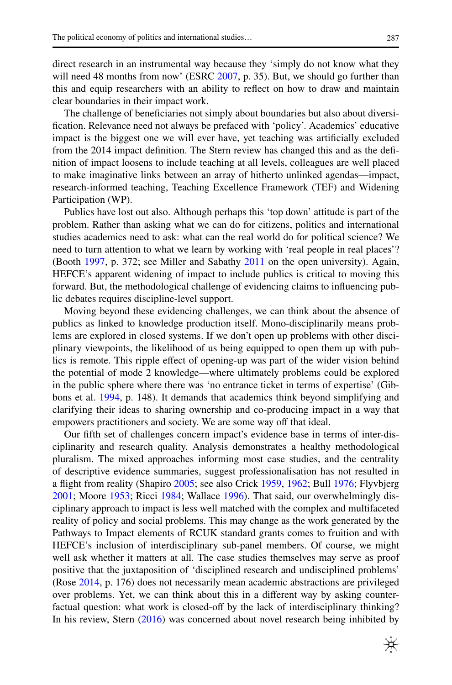direct research in an instrumental way because they 'simply do not know what they will need 48 months from now' (ESRC [2007](#page-21-12), p. 35). But, we should go further than this and equip researchers with an ability to refect on how to draw and maintain clear boundaries in their impact work.

The challenge of benefciaries not simply about boundaries but also about diversifcation. Relevance need not always be prefaced with 'policy'. Academics' educative impact is the biggest one we will ever have, yet teaching was artifcially excluded from the 2014 impact defnition. The Stern review has changed this and as the defnition of impact loosens to include teaching at all levels, colleagues are well placed to make imaginative links between an array of hitherto unlinked agendas—impact, research-informed teaching, Teaching Excellence Framework (TEF) and Widening Participation (WP).

Publics have lost out also. Although perhaps this 'top down' attitude is part of the problem. Rather than asking what we can do for citizens, politics and international studies academics need to ask: what can the real world do for political science? We need to turn attention to what we learn by working with 'real people in real places'? (Booth [1997](#page-20-3), p. 372; see Miller and Sabathy [2011](#page-22-24) on the open university). Again, HEFCE's apparent widening of impact to include publics is critical to moving this forward. But, the methodological challenge of evidencing claims to infuencing public debates requires discipline-level support.

Moving beyond these evidencing challenges, we can think about the absence of publics as linked to knowledge production itself. Mono-disciplinarily means problems are explored in closed systems. If we don't open up problems with other disciplinary viewpoints, the likelihood of us being equipped to open them up with publics is remote. This ripple efect of opening-up was part of the wider vision behind the potential of mode 2 knowledge—where ultimately problems could be explored in the public sphere where there was 'no entrance ticket in terms of expertise' (Gibbons et al. [1994](#page-21-19), p. 148). It demands that academics think beyond simplifying and clarifying their ideas to sharing ownership and co-producing impact in a way that empowers practitioners and society. We are some way off that ideal.

Our ffth set of challenges concern impact's evidence base in terms of inter-disciplinarity and research quality. Analysis demonstrates a healthy methodological pluralism. The mixed approaches informing most case studies, and the centrality of descriptive evidence summaries, suggest professionalisation has not resulted in a fight from reality (Shapiro [2005](#page-22-25); see also Crick [1959,](#page-21-26) [1962](#page-21-4); Bull [1976](#page-20-13); Flyvbjerg [2001](#page-21-27); Moore [1953](#page-22-26); Ricci [1984](#page-22-27); Wallace [1996](#page-23-6)). That said, our overwhelmingly disciplinary approach to impact is less well matched with the complex and multifaceted reality of policy and social problems. This may change as the work generated by the Pathways to Impact elements of RCUK standard grants comes to fruition and with HEFCE's inclusion of interdisciplinary sub-panel members. Of course, we might well ask whether it matters at all. The case studies themselves may serve as proof positive that the juxtaposition of 'disciplined research and undisciplined problems' (Rose [2014,](#page-22-28) p. 176) does not necessarily mean academic abstractions are privileged over problems. Yet, we can think about this in a diferent way by asking counterfactual question: what work is closed-off by the lack of interdisciplinary thinking? In his review, Stern ([2016\)](#page-23-11) was concerned about novel research being inhibited by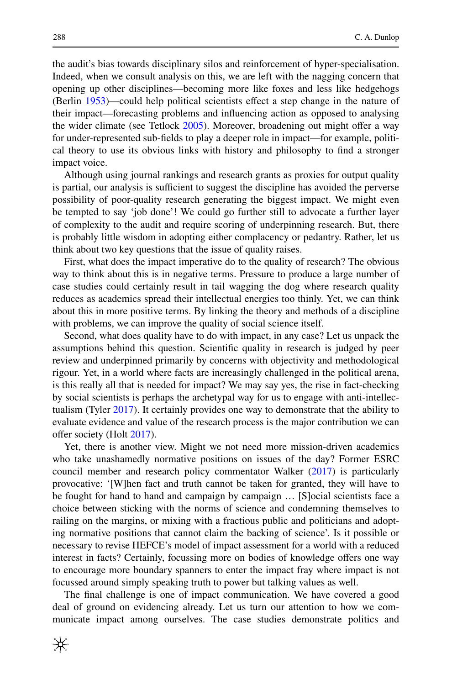the audit's bias towards disciplinary silos and reinforcement of hyper-specialisation. Indeed, when we consult analysis on this, we are left with the nagging concern that opening up other disciplines—becoming more like foxes and less like hedgehogs (Berlin [1953\)](#page-20-20)—could help political scientists effect a step change in the nature of their impact—forecasting problems and infuencing action as opposed to analysing the wider climate (see Tetlock [2005\)](#page-23-21). Moreover, broadening out might ofer a way for under-represented sub-felds to play a deeper role in impact—for example, political theory to use its obvious links with history and philosophy to fnd a stronger impact voice.

Although using journal rankings and research grants as proxies for output quality is partial, our analysis is sufficient to suggest the discipline has avoided the perverse possibility of poor-quality research generating the biggest impact. We might even be tempted to say 'job done'! We could go further still to advocate a further layer of complexity to the audit and require scoring of underpinning research. But, there is probably little wisdom in adopting either complacency or pedantry. Rather, let us think about two key questions that the issue of quality raises.

First, what does the impact imperative do to the quality of research? The obvious way to think about this is in negative terms. Pressure to produce a large number of case studies could certainly result in tail wagging the dog where research quality reduces as academics spread their intellectual energies too thinly. Yet, we can think about this in more positive terms. By linking the theory and methods of a discipline with problems, we can improve the quality of social science itself.

Second, what does quality have to do with impact, in any case? Let us unpack the assumptions behind this question. Scientifc quality in research is judged by peer review and underpinned primarily by concerns with objectivity and methodological rigour. Yet, in a world where facts are increasingly challenged in the political arena, is this really all that is needed for impact? We may say yes, the rise in fact-checking by social scientists is perhaps the archetypal way for us to engage with anti-intellectualism (Tyler [2017](#page-23-22)). It certainly provides one way to demonstrate that the ability to evaluate evidence and value of the research process is the major contribution we can offer society (Holt [2017\)](#page-22-29).

Yet, there is another view. Might we not need more mission-driven academics who take unashamedly normative positions on issues of the day? Former ESRC council member and research policy commentator Walker [\(2017](#page-23-23)) is particularly provocative: '[W]hen fact and truth cannot be taken for granted, they will have to be fought for hand to hand and campaign by campaign … [S]ocial scientists face a choice between sticking with the norms of science and condemning themselves to railing on the margins, or mixing with a fractious public and politicians and adopting normative positions that cannot claim the backing of science'. Is it possible or necessary to revise HEFCE's model of impact assessment for a world with a reduced interest in facts? Certainly, focussing more on bodies of knowledge ofers one way to encourage more boundary spanners to enter the impact fray where impact is not focussed around simply speaking truth to power but talking values as well.

The fnal challenge is one of impact communication. We have covered a good deal of ground on evidencing already. Let us turn our attention to how we communicate impact among ourselves. The case studies demonstrate politics and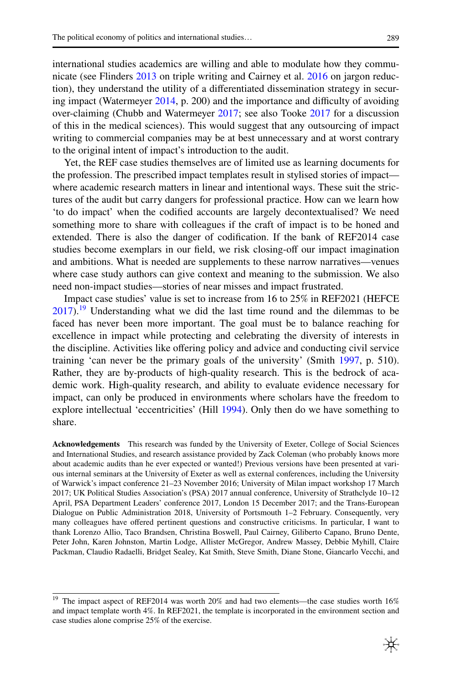international studies academics are willing and able to modulate how they communicate (see Flinders [2013](#page-21-0) on triple writing and Cairney et al. [2016](#page-20-2) on jargon reduction), they understand the utility of a diferentiated dissemination strategy in securing impact (Watermeyer  $2014$ , p. 200) and the importance and difficulty of avoiding over-claiming (Chubb and Watermeyer [2017](#page-20-1); see also Tooke [2017](#page-23-24) for a discussion of this in the medical sciences). This would suggest that any outsourcing of impact writing to commercial companies may be at best unnecessary and at worst contrary to the original intent of impact's introduction to the audit.

Yet, the REF case studies themselves are of limited use as learning documents for the profession. The prescribed impact templates result in stylised stories of impact where academic research matters in linear and intentional ways. These suit the strictures of the audit but carry dangers for professional practice. How can we learn how 'to do impact' when the codifed accounts are largely decontextualised? We need something more to share with colleagues if the craft of impact is to be honed and extended. There is also the danger of codifcation. If the bank of REF2014 case studies become exemplars in our feld, we risk closing-of our impact imagination and ambitions. What is needed are supplements to these narrow narratives—venues where case study authors can give context and meaning to the submission. We also need non-impact studies—stories of near misses and impact frustrated.

Impact case studies' value is set to increase from 16 to 25% in REF2021 (HEFCE  $2017$ ).<sup>19</sup> Understanding what we did the last time round and the dilemmas to be faced has never been more important. The goal must be to balance reaching for excellence in impact while protecting and celebrating the diversity of interests in the discipline. Activities like ofering policy and advice and conducting civil service training 'can never be the primary goals of the university' (Smith [1997,](#page-23-25) p. 510). Rather, they are by-products of high-quality research. This is the bedrock of academic work. High-quality research, and ability to evaluate evidence necessary for impact, can only be produced in environments where scholars have the freedom to explore intellectual 'eccentricities' (Hill [1994](#page-22-6)). Only then do we have something to share.

**Acknowledgements** This research was funded by the University of Exeter, College of Social Sciences and International Studies, and research assistance provided by Zack Coleman (who probably knows more about academic audits than he ever expected or wanted!) Previous versions have been presented at various internal seminars at the University of Exeter as well as external conferences, including the University of Warwick's impact conference 21–23 November 2016; University of Milan impact workshop 17 March 2017; UK Political Studies Association's (PSA) 2017 annual conference, University of Strathclyde 10–12 April, PSA Department Leaders' conference 2017, London 15 December 2017; and the Trans-European Dialogue on Public Administration 2018, University of Portsmouth 1–2 February. Consequently, very many colleagues have ofered pertinent questions and constructive criticisms. In particular, I want to thank Lorenzo Allio, Taco Brandsen, Christina Boswell, Paul Cairney, Giliberto Capano, Bruno Dente, Peter John, Karen Johnston, Martin Lodge, Allister McGregor, Andrew Massey, Debbie Myhill, Claire Packman, Claudio Radaelli, Bridget Sealey, Kat Smith, Steve Smith, Diane Stone, Giancarlo Vecchi, and

<span id="page-19-0"></span><sup>&</sup>lt;sup>19</sup> The impact aspect of REF2014 was worth 20% and had two elements—the case studies worth 16% and impact template worth 4%. In REF2021, the template is incorporated in the environment section and case studies alone comprise 25% of the exercise.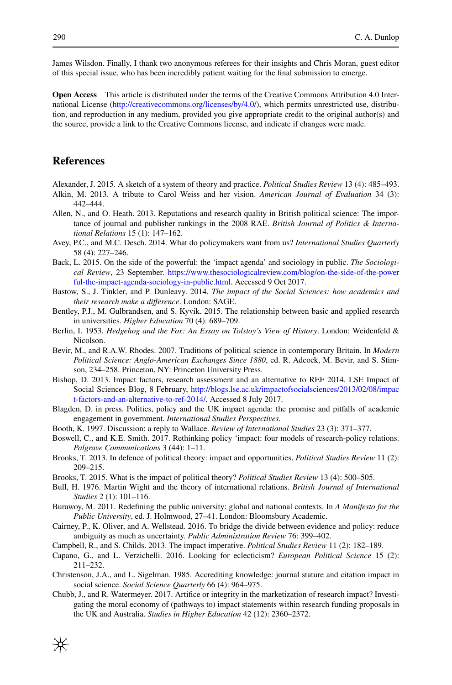James Wilsdon. Finally, I thank two anonymous referees for their insights and Chris Moran, guest editor of this special issue, who has been incredibly patient waiting for the fnal submission to emerge.

**Open Access** This article is distributed under the terms of the Creative Commons Attribution 4.0 International License (<http://creativecommons.org/licenses/by/4.0/>), which permits unrestricted use, distribution, and reproduction in any medium, provided you give appropriate credit to the original author(s) and the source, provide a link to the Creative Commons license, and indicate if changes were made.

## **References**

- <span id="page-20-7"></span>Alexander, J. 2015. A sketch of a system of theory and practice. *Political Studies Review* 13 (4): 485–493.
- <span id="page-20-5"></span>Alkin, M. 2013. A tribute to Carol Weiss and her vision. *American Journal of Evaluation* 34 (3): 442–444.
- <span id="page-20-16"></span>Allen, N., and O. Heath. 2013. Reputations and research quality in British political science: The importance of journal and publisher rankings in the 2008 RAE. *British Journal of Politics & International Relations* 15 (1): 147–162.
- <span id="page-20-11"></span>Avey, P.C., and M.C. Desch. 2014. What do policymakers want from us? *International Studies Quarterly* 58 (4): 227–246.
- <span id="page-20-19"></span>Back, L. 2015. On the side of the powerful: the 'impact agenda' and sociology in public. *The Sociological Review*, 23 September. [https://www.thesociologicalreview.com/blog/on-the-side-of-the-power](https://www.thesociologicalreview.com/blog/on-the-side-of-the-powerful-the-impact-agenda-sociology-in-public.html) [ful-the-impact-agenda-sociology-in-public.html](https://www.thesociologicalreview.com/blog/on-the-side-of-the-powerful-the-impact-agenda-sociology-in-public.html). Accessed 9 Oct 2017.
- <span id="page-20-0"></span>Bastow, S., J. Tinkler, and P. Dunleavy. 2014. *The impact of the Social Sciences: how academics and their research make a diference*. London: SAGE.
- <span id="page-20-12"></span>Bentley, P.J., M. Gulbrandsen, and S. Kyvik. 2015. The relationship between basic and applied research in universities. *Higher Education* 70 (4): 689–709.
- <span id="page-20-20"></span>Berlin, I. 1953. *Hedgehog and the Fox: An Essay on Tolstoy's View of History*. London: Weidenfeld & Nicolson.
- <span id="page-20-9"></span>Bevir, M., and R.A.W. Rhodes. 2007. Traditions of political science in contemporary Britain. In *Modern Political Science: Anglo-American Exchanges Since 1880*, ed. R. Adcock, M. Bevir, and S. Stimson, 234–258. Princeton, NY: Princeton University Press.
- <span id="page-20-15"></span>Bishop, D. 2013. Impact factors, research assessment and an alternative to REF 2014. LSE Impact of Social Sciences Blog, 8 February, [http://blogs.lse.ac.uk/impactofsocialsciences/2013/02/08/impac](http://blogs.lse.ac.uk/impactofsocialsciences/2013/02/08/impact-factors-and-an-alternative-to-ref-2014/) [t-factors-and-an-alternative-to-ref-2014/](http://blogs.lse.ac.uk/impactofsocialsciences/2013/02/08/impact-factors-and-an-alternative-to-ref-2014/). Accessed 8 July 2017.
- Blagden, D. in press. Politics, policy and the UK impact agenda: the promise and pitfalls of academic engagement in government. *International Studies Perspectives.*
- <span id="page-20-3"></span>Booth, K. 1997. Discussion: a reply to Wallace. *Review of International Studies* 23 (3): 371–377.
- <span id="page-20-4"></span>Boswell, C., and K.E. Smith. 2017. Rethinking policy 'impact: four models of research-policy relations. *Palgrave Communications* 3 (44): 1–11.
- <span id="page-20-6"></span>Brooks, T. 2013. In defence of political theory: impact and opportunities. *Political Studies Review* 11 (2): 209–215.
- <span id="page-20-8"></span>Brooks, T. 2015. What is the impact of political theory? *Political Studies Review* 13 (4): 500–505.
- <span id="page-20-13"></span>Bull, H. 1976. Martin Wight and the theory of international relations. *British Journal of International Studies* 2 (1): 101–116.
- <span id="page-20-18"></span>Burawoy, M. 2011. Redefning the public university: global and national contexts. In *A Manifesto for the Public University*, ed. J. Holmwood, 27–41. London: Bloomsbury Academic.
- <span id="page-20-2"></span>Cairney, P., K. Oliver, and A. Wellstead. 2016. To bridge the divide between evidence and policy: reduce ambiguity as much as uncertainty. *Public Administration Review* 76: 399–402.
- <span id="page-20-10"></span>Campbell, R., and S. Childs. 2013. The impact imperative. *Political Studies Review* 11 (2): 182–189.
- <span id="page-20-14"></span>Capano, G., and L. Verzichelli. 2016. Looking for eclecticism? *European Political Science* 15 (2): 211–232.
- <span id="page-20-17"></span>Christenson, J.A., and L. Sigelman. 1985. Accrediting knowledge: journal stature and citation impact in social science. *Social Science Quarterly* 66 (4): 964–975.
- <span id="page-20-1"></span>Chubb, J., and R. Watermeyer. 2017. Artifce or integrity in the marketization of research impact? Investigating the moral economy of (pathways to) impact statements within research funding proposals in the UK and Australia. *Studies in Higher Education* 42 (12): 2360–2372.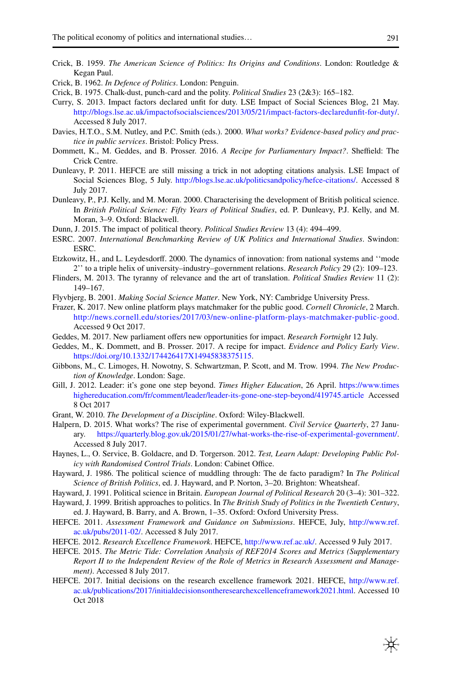- <span id="page-21-26"></span>Crick, B. 1959. *The American Science of Politics: Its Origins and Conditions*. London: Routledge & Kegan Paul.
- <span id="page-21-4"></span>Crick, B. 1962. *In Defence of Politics*. London: Penguin.
- <span id="page-21-20"></span>Crick, B. 1975. Chalk-dust, punch-card and the polity. *Political Studies* 23 (2&3): 165–182.
- <span id="page-21-21"></span>Curry, S. 2013. Impact factors declared unft for duty. LSE Impact of Social Sciences Blog, 21 May. [http://blogs.lse.ac.uk/impactofsocialsciences/2013/05/21/impact-factors-declaredunft-for-duty/](http://blogs.lse.ac.uk/impactofsocialsciences/2013/05/21/impact-factors-declaredunfit-for-duty/). Accessed 8 July 2017.
- <span id="page-21-13"></span>Davies, H.T.O., S.M. Nutley, and P.C. Smith (eds.). 2000. *What works? Evidence-based policy and practice in public services*. Bristol: Policy Press.
- <span id="page-21-1"></span>Dommett, K., M. Geddes, and B. Prosser. 2016. *A Recipe for Parliamentary Impact?*. Sheffield: The Crick Centre.
- <span id="page-21-17"></span>Dunleavy, P. 2011. HEFCE are still missing a trick in not adopting citations analysis. LSE Impact of Social Sciences Blog, 5 July. <http://blogs.lse.ac.uk/politicsandpolicy/hefce-citations/>. Accessed 8 July 2017.
- <span id="page-21-9"></span>Dunleavy, P., P.J. Kelly, and M. Moran. 2000. Characterising the development of British political science. In *British Political Science: Fifty Years of Political Studies*, ed. P. Dunleavy, P.J. Kelly, and M. Moran, 3–9. Oxford: Blackwell.
- <span id="page-21-10"></span>Dunn, J. 2015. The impact of political theory. *Political Studies Review* 13 (4): 494–499.
- <span id="page-21-12"></span>ESRC. 2007. *International Benchmarking Review of UK Politics and International Studies*. Swindon: ESRC.
- <span id="page-21-15"></span>Etzkowitz, H., and L. Leydesdorf. 2000. The dynamics of innovation: from national systems and ''mode 2'' to a triple helix of university–industry–government relations. *Research Policy* 29 (2): 109–123.
- <span id="page-21-0"></span>Flinders, M. 2013. The tyranny of relevance and the art of translation. *Political Studies Review* 11 (2): 149–167.
- <span id="page-21-27"></span>Flyvbjerg, B. 2001. *Making Social Science Matter*. New York, NY: Cambridge University Press.
- <span id="page-21-3"></span>Frazer, K. 2017. New online platform plays matchmaker for the public good. *Cornell Chronicle*, 2 March. <http://news.cornell.edu/stories/2017/03/new-online-platform-plays-matchmaker-public-good>. Accessed 9 Oct 2017.
- <span id="page-21-14"></span>Geddes, M. 2017. New parliament ofers new opportunities for impact. *Research Fortnight* 12 July.
- <span id="page-21-2"></span>Geddes, M., K. Dommett, and B. Prosser. 2017. A recipe for impact. *Evidence and Policy Early View*. [https://doi.org/10.1332/174426417X14945838375115.](https://doi.org/10.1332/174426417X14945838375115)
- <span id="page-21-19"></span>Gibbons, M., C. Limoges, H. Nowotny, S. Schwartzman, P. Scott, and M. Trow. 1994. *The New Production of Knowledge*. London: Sage.
- <span id="page-21-23"></span>Gill, J. 2012. Leader: it's gone one step beyond. *Times Higher Education*, 26 April. [https://www.times](https://www.timeshighereducation.com/fr/comment/leader/leader-its-gone-one-step-beyond/419745.article) [highereducation.com/fr/comment/leader/leader-its-gone-one-step-beyond/419745.article](https://www.timeshighereducation.com/fr/comment/leader/leader-its-gone-one-step-beyond/419745.article) Accessed 8 Oct 2017
- <span id="page-21-11"></span>Grant, W. 2010. *The Development of a Discipline*. Oxford: Wiley-Blackwell.
- <span id="page-21-24"></span>Halpern, D. 2015. What works? The rise of experimental government. *Civil Service Quarterly*, 27 January. <https://quarterly.blog.gov.uk/2015/01/27/what-works-the-rise-of-experimental-government/>. Accessed 8 July 2017.
- <span id="page-21-25"></span>Haynes, L., O. Service, B. Goldacre, and D. Torgerson. 2012. *Test, Learn Adapt: Developing Public Policy with Randomised Control Trials*. London: Cabinet Office.
- <span id="page-21-18"></span>Hayward, J. 1986. The political science of muddling through: The de facto paradigm? In *The Political Science of British Politics*, ed. J. Hayward, and P. Norton, 3–20. Brighton: Wheatsheaf.
- <span id="page-21-5"></span>Hayward, J. 1991. Political science in Britain. *European Journal of Political Research* 20 (3–4): 301–322.
- <span id="page-21-6"></span>Hayward, J. 1999. British approaches to politics. In *The British Study of Politics in the Twentieth Century*, ed. J. Hayward, B. Barry, and A. Brown, 1–35. Oxford: Oxford University Press.
- <span id="page-21-16"></span>HEFCE. 2011. *Assessment Framework and Guidance on Submissions*. HEFCE, July, [http://www.ref.](http://www.ref.ac.uk/pubs/2011-02/) [ac.uk/pubs/2011-02/](http://www.ref.ac.uk/pubs/2011-02/). Accessed 8 July 2017.
- <span id="page-21-8"></span>HEFCE. 2012. *Research Excellence Framework*. HEFCE,<http://www.ref.ac.uk/>. Accessed 9 July 2017.
- <span id="page-21-22"></span>HEFCE. 2015. *The Metric Tide: Correlation Analysis of REF2014 Scores and Metrics (Supplementary Report II to the Independent Review of the Role of Metrics in Research Assessment and Management)*. Accessed 8 July 2017.
- <span id="page-21-7"></span>HEFCE. 2017. Initial decisions on the research excellence framework 2021. HEFCE, [http://www.ref.](http://www.ref.ac.uk/publications/2017/initialdecisionsontheresearchexcellenceframework2021.html) [ac.uk/publications/2017/initialdecisionsontheresearchexcellenceframework2021.html.](http://www.ref.ac.uk/publications/2017/initialdecisionsontheresearchexcellenceframework2021.html) Accessed 10 Oct 2018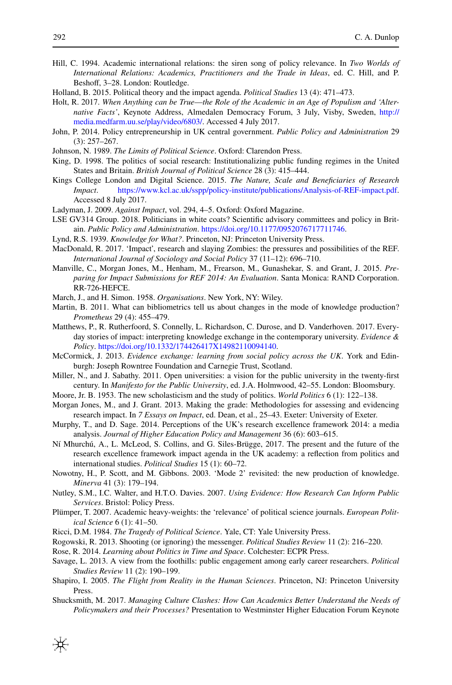- <span id="page-22-6"></span>Hill, C. 1994. Academic international relations: the siren song of policy relevance. In *Two Worlds of International Relations: Academics, Practitioners and the Trade in Ideas*, ed. C. Hill, and P. Beshoff, 3-28. London: Routledge.
- <span id="page-22-11"></span>Holland, B. 2015. Political theory and the impact agenda. *Political Studies* 13 (4): 471–473.
- <span id="page-22-29"></span>Holt, R. 2017. *When Anything can be True*—*the Role of the Academic in an Age of Populism and 'Alternative Facts'*, Keynote Address, Almedalen Democracy Forum, 3 July, Visby, Sweden, [http://](http://media.medfarm.uu.se/play/video/6803/) [media.medfarm.uu.se/play/video/6803/.](http://media.medfarm.uu.se/play/video/6803/) Accessed 4 July 2017.
- <span id="page-22-22"></span>John, P. 2014. Policy entrepreneurship in UK central government. *Public Policy and Administration* 29 (3): 257–267.
- <span id="page-22-7"></span>Johnson, N. 1989. *The Limits of Political Science*. Oxford: Clarendon Press.
- <span id="page-22-12"></span>King, D. 1998. The politics of social research: Institutionalizing public funding regimes in the United States and Britain. *British Journal of Political Science* 28 (3): 415–444.
- <span id="page-22-8"></span>Kings College London and Digital Science. 2015. *The Nature, Scale and Benefciaries of Research Impact*. <https://www.kcl.ac.uk/sspp/policy-institute/publications/Analysis-of-REF-impact.pdf>. Accessed 8 July 2017.
- <span id="page-22-0"></span>Ladyman, J. 2009. *Against Impact*, vol. 294, 4–5. Oxford: Oxford Magazine.
- <span id="page-22-13"></span>LSE GV314 Group. 2018. Politicians in white coats? Scientifc advisory committees and policy in Britain. *Public Policy and Administration*. <https://doi.org/10.1177/0952076717711746>.
- <span id="page-22-19"></span>Lynd, R.S. 1939. *Knowledge for What?*. Princeton, NJ: Princeton University Press.
- <span id="page-22-1"></span>MacDonald, R. 2017. 'Impact', research and slaying Zombies: the pressures and possibilities of the REF. *International Journal of Sociology and Social Policy* 37 (11–12): 696–710.
- <span id="page-22-9"></span>Manville, C., Morgan Jones, M., Henham, M., Frearson, M., Gunashekar, S. and Grant, J. 2015. *Preparing for Impact Submissions for REF 2014: An Evaluation*. Santa Monica: RAND Corporation. RR-726-HEFCE.
- <span id="page-22-21"></span>March, J., and H. Simon. 1958. *Organisations*. New York, NY: Wiley.
- <span id="page-22-17"></span>Martin, B. 2011. What can bibliometrics tell us about changes in the mode of knowledge production? *Prometheus* 29 (4): 455–479.
- <span id="page-22-5"></span>Matthews, P., R. Rutherfoord, S. Connelly, L. Richardson, C. Durose, and D. Vanderhoven. 2017. Everyday stories of impact: interpreting knowledge exchange in the contemporary university. *Evidence & Policy*. [https://doi.org/10.1332/174426417X14982110094140.](https://doi.org/10.1332/174426417X14982110094140)
- <span id="page-22-16"></span>McCormick, J. 2013. *Evidence exchange: learning from social policy across the UK*. York and Edinburgh: Joseph Rowntree Foundation and Carnegie Trust, Scotland.
- <span id="page-22-24"></span>Miller, N., and J. Sabathy. 2011. Open universities: a vision for the public university in the twenty-frst century. In *Manifesto for the Public University*, ed. J.A. Holmwood, 42–55. London: Bloomsbury.
- <span id="page-22-26"></span>Moore, Jr. B. 1953. The new scholasticism and the study of politics. *World Politics* 6 (1): 122–138.
- <span id="page-22-10"></span>Morgan Jones, M., and J. Grant. 2013. Making the grade: Methodologies for assessing and evidencing research impact. In *7 Essays on Impact*, ed. Dean, et al., 25–43. Exeter: University of Exeter.
- <span id="page-22-3"></span>Murphy, T., and D. Sage. 2014. Perceptions of the UK's research excellence framework 2014: a media analysis. *Journal of Higher Education Policy and Management* 36 (6): 603–615.
- <span id="page-22-2"></span>Ní Mhurchú, A., L. McLeod, S. Collins, and G. Siles-Brügge, 2017. The present and the future of the research excellence framework impact agenda in the UK academy: a refection from politics and international studies. *Political Studies* 15 (1): 60–72.
- <span id="page-22-18"></span>Nowotny, H., P. Scott, and M. Gibbons. 2003. 'Mode 2' revisited: the new production of knowledge. *Minerva* 41 (3): 179–194.
- <span id="page-22-14"></span>Nutley, S.M., I.C. Walter, and H.T.O. Davies. 2007. *Using Evidence: How Research Can Inform Public Services*. Bristol: Policy Press.
- <span id="page-22-20"></span>Plümper, T. 2007. Academic heavy-weights: the 'relevance' of political science journals. *European Political Science* 6 (1): 41–50.
- <span id="page-22-27"></span>Ricci, D.M. 1984. *The Tragedy of Political Science*. Yale, CT: Yale University Press.
- <span id="page-22-23"></span>Rogowski, R. 2013. Shooting (or ignoring) the messenger. *Political Studies Review* 11 (2): 216–220.
- <span id="page-22-28"></span>Rose, R. 2014. *Learning about Politics in Time and Space*. Colchester: ECPR Press.
- <span id="page-22-4"></span>Savage, L. 2013. A view from the foothills: public engagement among early career researchers. *Political Studies Review* 11 (2): 190–199.
- <span id="page-22-25"></span>Shapiro, I. 2005. *The Flight from Reality in the Human Sciences*. Princeton, NJ: Princeton University Press.
- <span id="page-22-15"></span>Shucksmith, M. 2017. *Managing Culture Clashes: How Can Academics Better Understand the Needs of Policymakers and their Processes?* Presentation to Westminster Higher Education Forum Keynote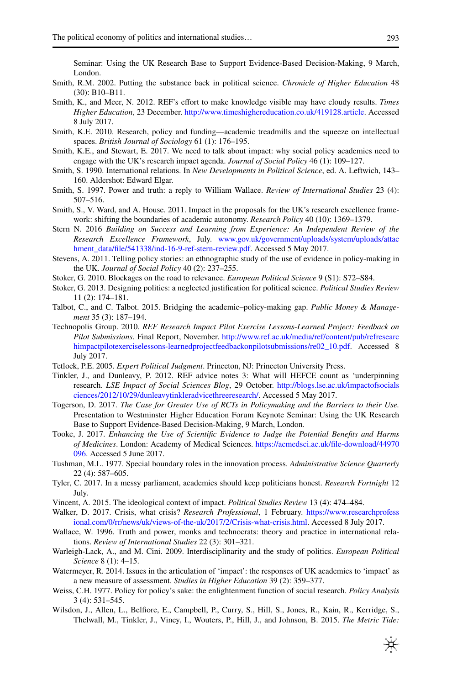Seminar: Using the UK Research Base to Support Evidence-Based Decision-Making, 9 March, London.

- <span id="page-23-13"></span>Smith, R.M. 2002. Putting the substance back in political science. *Chronicle of Higher Education* 48 (30): B10–B11.
- <span id="page-23-1"></span>Smith, K., and Meer, N. 2012. REF's effort to make knowledge visible may have cloudy results. *Times Higher Education*, 23 December. <http://www.timeshighereducation.co.uk/419128.article>. Accessed 8 July 2017.
- <span id="page-23-0"></span>Smith, K.E. 2010. Research, policy and funding—academic treadmills and the squeeze on intellectual spaces. *British Journal of Sociology* 61 (1): 176–195.
- <span id="page-23-7"></span>Smith, K.E., and Stewart, E. 2017. We need to talk about impact: why social policy academics need to engage with the UK's research impact agenda. *Journal of Social Policy* 46 (1): 109–127.
- <span id="page-23-5"></span>Smith, S. 1990. International relations. In *New Developments in Political Science*, ed. A. Leftwich, 143– 160. Aldershot: Edward Elgar.
- <span id="page-23-25"></span>Smith, S. 1997. Power and truth: a reply to William Wallace. *Review of International Studies* 23 (4): 507–516.
- <span id="page-23-2"></span>Smith, S., V. Ward, and A. House. 2011. Impact in the proposals for the UK's research excellence framework: shifting the boundaries of academic autonomy. *Research Policy* 40 (10): 1369–1379.
- <span id="page-23-11"></span>Stern N. 2016 *Building on Success and Learning from Experience: An Independent Review of the Research Excellence Framework*, July. [www.gov.uk/government/uploads/system/uploads/attac](http://www.gov.uk/government/uploads/system/uploads/attachment_data/file/541338/ind-16-9-ref-stern-review.pdf) [hment\\_data/fle/541338/ind-16-9-ref-stern-review.pdf](http://www.gov.uk/government/uploads/system/uploads/attachment_data/file/541338/ind-16-9-ref-stern-review.pdf). Accessed 5 May 2017.
- <span id="page-23-12"></span>Stevens, A. 2011. Telling policy stories: an ethnographic study of the use of evidence in policy-making in the UK. *Journal of Social Policy* 40 (2): 237–255.
- <span id="page-23-19"></span>Stoker, G. 2010. Blockages on the road to relevance. *European Political Science* 9 (S1): S72–S84.
- <span id="page-23-4"></span>Stoker, G. 2013. Designing politics: a neglected justifcation for political science. *Political Studies Review* 11 (2): 174–181.
- <span id="page-23-10"></span>Talbot, C., and C. Talbot. 2015. Bridging the academic–policy-making gap. *Public Money & Management* 35 (3): 187–194.
- <span id="page-23-9"></span>Technopolis Group. 2010. *REF Research Impact Pilot Exercise Lessons*-*Learned Project: Feedback on Pilot Submissions*. Final Report, November. [http://www.ref.ac.uk/media/ref/content/pub/refresearc](http://www.ref.ac.uk/media/ref/content/pub/refresearchimpactpilotexerciselessons-learnedprojectfeedbackonpilotsubmissions/re02_10.pdf) [himpactpilotexerciselessons-learnedprojectfeedbackonpilotsubmissions/re02\\_10.pdf](http://www.ref.ac.uk/media/ref/content/pub/refresearchimpactpilotexerciselessons-learnedprojectfeedbackonpilotsubmissions/re02_10.pdf). Accessed 8 July 2017.
- <span id="page-23-21"></span>Tetlock, P.E. 2005. *Expert Political Judgment*. Princeton, NJ: Princeton University Press.
- <span id="page-23-15"></span>Tinkler, J., and Dunleavy, P. 2012. REF advice notes 3: What will HEFCE count as 'underpinning research. *LSE Impact of Social Sciences Blog*, 29 October. [http://blogs.lse.ac.uk/impactofsocials](http://blogs.lse.ac.uk/impactofsocialsciences/2012/10/29/dunleavytinkleradvicethreeresearch/) [ciences/2012/10/29/dunleavytinkleradvicethreeresearch/](http://blogs.lse.ac.uk/impactofsocialsciences/2012/10/29/dunleavytinkleradvicethreeresearch/). Accessed 5 May 2017.
- <span id="page-23-20"></span>Togerson, D. 2017. *The Case for Greater Use of RCTs in Policymaking and the Barriers to their Use.* Presentation to Westminster Higher Education Forum Keynote Seminar: Using the UK Research Base to Support Evidence-Based Decision-Making, 9 March, London.
- <span id="page-23-24"></span>Tooke, J. 2017. *Enhancing the Use of Scientifc Evidence to Judge the Potential Benefts and Harms of Medicines*. London: Academy of Medical Sciences. [https://acmedsci.ac.uk/fle-download/44970](https://acmedsci.ac.uk/file-download/44970096) [096.](https://acmedsci.ac.uk/file-download/44970096) Accessed 5 June 2017.
- <span id="page-23-18"></span>Tushman, M.L. 1977. Special boundary roles in the innovation process. *Administrative Science Quarterly* 22 (4): 587–605.
- <span id="page-23-22"></span>Tyler, C. 2017. In a messy parliament, academics should keep politicians honest. *Research Fortnight* 12 July.
- <span id="page-23-8"></span>Vincent, A. 2015. The ideological context of impact. *Political Studies Review* 13 (4): 474–484.
- <span id="page-23-23"></span>Walker, D. 2017. Crisis, what crisis? *Research Professional*, 1 February. [https://www.researchprofess](https://www.researchprofessional.com/0/rr/news/uk/views-of-the-uk/2017/2/Crisis-what-crisis.html) [ional.com/0/rr/news/uk/views-of-the-uk/2017/2/Crisis-what-crisis.html.](https://www.researchprofessional.com/0/rr/news/uk/views-of-the-uk/2017/2/Crisis-what-crisis.html) Accessed 8 July 2017.
- <span id="page-23-6"></span>Wallace, W. 1996. Truth and power, monks and technocrats: theory and practice in international relations. *Review of International Studies* 22 (3): 301–321.
- <span id="page-23-14"></span>Warleigh-Lack, A., and M. Cini. 2009. Interdisciplinarity and the study of politics. *European Political Science* 8 (1): 4–15.
- <span id="page-23-3"></span>Watermeyer, R. 2014. Issues in the articulation of 'impact': the responses of UK academics to 'impact' as a new measure of assessment. *Studies in Higher Education* 39 (2): 359–377.
- <span id="page-23-17"></span>Weiss, C.H. 1977. Policy for policy's sake: the enlightenment function of social research. *Policy Analysis* 3 (4): 531–545.
- <span id="page-23-16"></span>Wilsdon, J., Allen, L., Belfore, E., Campbell, P., Curry, S., Hill, S., Jones, R., Kain, R., Kerridge, S., Thelwall, M., Tinkler, J., Viney, I., Wouters, P., Hill, J., and Johnson, B. 2015. *The Metric Tide:*